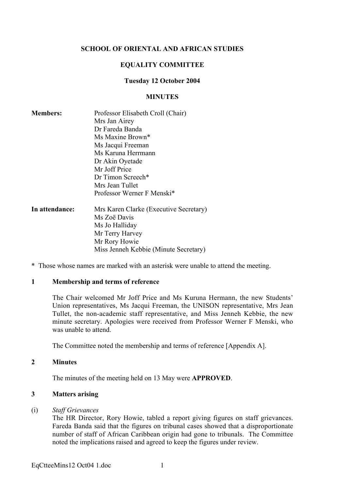# SCHOOL OF ORIENTAL AND AFRICAN STUDIES

# EQUALITY COMMITTEE

# Tuesday 12 October 2004

#### MINUTES

| <b>Members:</b> | Professor Elisabeth Croll (Chair)<br>Mrs Jan Airey<br>Dr Fareda Banda<br>Ms Maxine Brown*<br>Ms Jacqui Freeman |
|-----------------|----------------------------------------------------------------------------------------------------------------|
|                 | Ms Karuna Herrmann                                                                                             |
|                 | Dr Akin Oyetade                                                                                                |
|                 | Mr Joff Price                                                                                                  |
|                 | Dr Timon Screech*                                                                                              |
|                 | Mrs Jean Tullet                                                                                                |
|                 | Professor Werner F Menski*                                                                                     |
| In attendance:  | Mrs Karen Clarke (Executive Secretary)                                                                         |
|                 | Ms Zoë Davis                                                                                                   |
|                 | Ms Jo Halliday                                                                                                 |
|                 | Mr Terry Harvey                                                                                                |
|                 | Mr Rory Howie                                                                                                  |
|                 | Miss Jenneh Kebbie (Minute Secretary)                                                                          |

\* Those whose names are marked with an asterisk were unable to attend the meeting.

#### 1 Membership and terms of reference

The Chair welcomed Mr Joff Price and Ms Kuruna Hermann, the new Students' Union representatives, Ms Jacqui Freeman, the UNISON representative, Mrs Jean Tullet, the non-academic staff representative, and Miss Jenneh Kebbie, the new minute secretary. Apologies were received from Professor Werner F Menski, who was unable to attend.

The Committee noted the membership and terms of reference [Appendix A].

## 2 Minutes

The minutes of the meeting held on 13 May were APPROVED.

## 3 Matters arising

#### (i) *Staff Grievances*

The HR Director, Rory Howie, tabled a report giving figures on staff grievances. Fareda Banda said that the figures on tribunal cases showed that a disproportionate number of staff of African Caribbean origin had gone to tribunals. The Committee noted the implications raised and agreed to keep the figures under review.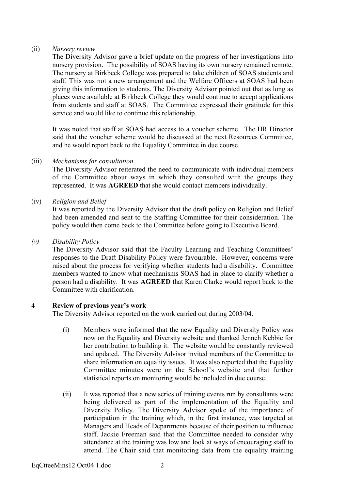# (ii) *Nursery review*

The Diversity Advisor gave a brief update on the progress of her investigations into nursery provision. The possibility of SOAS having its own nursery remained remote. The nursery at Birkbeck College was prepared to take children of SOAS students and staff. This was not a new arrangement and the Welfare Officers at SOAS had been giving this information to students. The Diversity Advisor pointed out that as long as places were available at Birkbeck College they would continue to accept applications from students and staff at SOAS. The Committee expressed their gratitude for this service and would like to continue this relationship.

It was noted that staff at SOAS had access to a voucher scheme. The HR Director said that the voucher scheme would be discussed at the next Resources Committee, and he would report back to the Equality Committee in due course.

# (iii) *Mechanisms for consultation*

The Diversity Advisor reiterated the need to communicate with individual members of the Committee about ways in which they consulted with the groups they represented. It was AGREED that she would contact members individually.

# (iv) *Religion and Belief*

It was reported by the Diversity Advisor that the draft policy on Religion and Belief had been amended and sent to the Staffing Committee for their consideration. The policy would then come back to the Committee before going to Executive Board.

# *(v) Disability Policy*

The Diversity Advisor said that the Faculty Learning and Teaching Committees' responses to the Draft Disability Policy were favourable. However, concerns were raised about the process for verifying whether students had a disability. Committee members wanted to know what mechanisms SOAS had in place to clarify whether a person had a disability. It was AGREED that Karen Clarke would report back to the Committee with clarification.

# 4 Review of previous year's work

The Diversity Advisor reported on the work carried out during 2003/04.

- (i) Members were informed that the new Equality and Diversity Policy was now on the Equality and Diversity website and thanked Jenneh Kebbie for her contribution to building it. The website would be constantly reviewed and updated. The Diversity Advisor invited members of the Committee to share information on equality issues. It was also reported that the Equality Committee minutes were on the School's website and that further statistical reports on monitoring would be included in due course.
- (ii) It was reported that a new series of training events run by consultants were being delivered as part of the implementation of the Equality and Diversity Policy. The Diversity Advisor spoke of the importance of participation in the training which, in the first instance, was targeted at Managers and Heads of Departments because of their position to influence staff. Jackie Freeman said that the Committee needed to consider why attendance at the training was low and look at ways of encouraging staff to attend. The Chair said that monitoring data from the equality training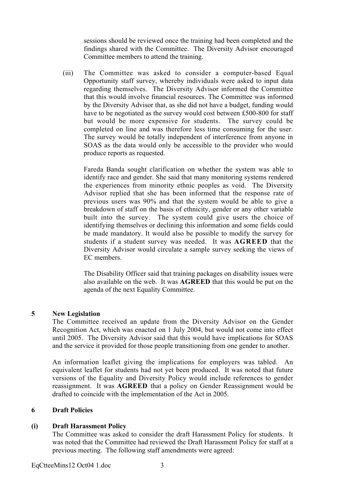sessions should be reviewed once the training had been completed and the findings shared with the Committee. The Diversity Advisor encouraged Committee members to attend the training.

(iii) The Committee was asked to consider a computer-based Equal Opportunity staff survey, whereby individuals were asked to input data regarding themselves. The Diversity Advisor informed the Committee that this would involve financial resources. The Committee was informed by the Diversity Advisor that, as she did not have a budget, funding would have to be negotiated as the survey would cost between £500-800 for staff but would be more expensive for students. The survey could be completed on line and was therefore less time consuming for the user. The survey would be totally independent of interference from anyone in SOAS as the data would only be accessible to the provider who would produce reports as requested.

Fareda Banda sought clarification on whether the system was able to identify race and gender. She said that many monitoring systems rendered the experiences from minority ethnic peoples as void. The Diversity Advisor replied that she has been informed that the response rate of previous users was 90% and that the system would be able to give a breakdown of staff on the basis of ethnicity, gender or any other variable built into the survey. The system could give users the choice of identifying themselves or declining this information and some fields could be made mandatory. It would also be possible to modify the survey for students if a student survey was needed. It was AGREED that the Diversity Advisor would circulate a sample survey seeking the views of EC members.

The Disability Officer said that training packages on disability issues were also available on the web. It was AGREED that this would be put on the agenda of the next Equality Committee.

## 5 New Legislation

The Committee received an update from the Diversity Advisor on the Gender Recognition Act, which was enacted on 1 July 2004, but would not come into effect until 2005. The Diversity Advisor said that this would have implications for SOAS and the service it provided for those people transitioning from one gender to another.

An information leaflet giving the implications for employers was tabled. An equivalent leaflet for students had not yet been produced. It was noted that future versions of the Equality and Diversity Policy would include references to gender reassignment. It was AGREED that a policy on Gender Reassignment would be drafted to coincide with the implementation of the Act in 2005.

## 6 Draft Policies

# (i) Draft Harassment Policy

The Committee was asked to consider the draft Harassment Policy for students. It was noted that the Committee had reviewed the Draft Harassment Policy for staff at a previous meeting. The following staff amendments were agreed: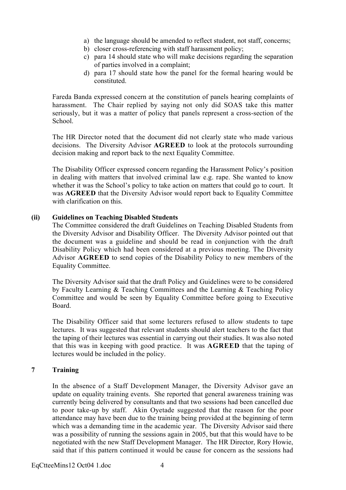- a) the language should be amended to reflect student, not staff, concerns;
- b) closer cross-referencing with staff harassment policy;
- c) para 14 should state who will make decisions regarding the separation of parties involved in a complaint;
- d) para 17 should state how the panel for the formal hearing would be constituted.

Fareda Banda expressed concern at the constitution of panels hearing complaints of harassment. The Chair replied by saying not only did SOAS take this matter seriously, but it was a matter of policy that panels represent a cross-section of the School.

The HR Director noted that the document did not clearly state who made various decisions. The Diversity Advisor AGREED to look at the protocols surrounding decision making and report back to the next Equality Committee.

The Disability Officer expressed concern regarding the Harassment Policy's position in dealing with matters that involved criminal law e.g. rape. She wanted to know whether it was the School's policy to take action on matters that could go to court. It was AGREED that the Diversity Advisor would report back to Equality Committee with clarification on this.

# (ii) Guidelines on Teaching Disabled Students

The Committee considered the draft Guidelines on Teaching Disabled Students from the Diversity Advisor and Disability Officer. The Diversity Advisor pointed out that the document was a guideline and should be read in conjunction with the draft Disability Policy which had been considered at a previous meeting. The Diversity Advisor AGREED to send copies of the Disability Policy to new members of the Equality Committee.

The Diversity Advisor said that the draft Policy and Guidelines were to be considered by Faculty Learning & Teaching Committees and the Learning & Teaching Policy Committee and would be seen by Equality Committee before going to Executive Board.

The Disability Officer said that some lecturers refused to allow students to tape lectures. It was suggested that relevant students should alert teachers to the fact that the taping of their lectures was essential in carrying out their studies. It was also noted that this was in keeping with good practice. It was AGREED that the taping of lectures would be included in the policy.

## 7 Training

In the absence of a Staff Development Manager, the Diversity Advisor gave an update on equality training events. She reported that general awareness training was currently being delivered by consultants and that two sessions had been cancelled due to poor take-up by staff. Akin Oyetade suggested that the reason for the poor attendance may have been due to the training being provided at the beginning of term which was a demanding time in the academic year. The Diversity Advisor said there was a possibility of running the sessions again in 2005, but that this would have to be negotiated with the new Staff Development Manager. The HR Director, Rory Howie, said that if this pattern continued it would be cause for concern as the sessions had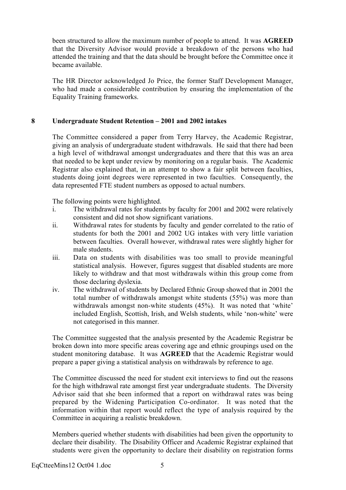been structured to allow the maximum number of people to attend. It was AGREED that the Diversity Advisor would provide a breakdown of the persons who had attended the training and that the data should be brought before the Committee once it became available.

The HR Director acknowledged Jo Price, the former Staff Development Manager, who had made a considerable contribution by ensuring the implementation of the Equality Training frameworks.

# 8 Undergraduate Student Retention – 2001 and 2002 intakes

The Committee considered a paper from Terry Harvey, the Academic Registrar, giving an analysis of undergraduate student withdrawals. He said that there had been a high level of withdrawal amongst undergraduates and there that this was an area that needed to be kept under review by monitoring on a regular basis. The Academic Registrar also explained that, in an attempt to show a fair split between faculties, students doing joint degrees were represented in two faculties. Consequently, the data represented FTE student numbers as opposed to actual numbers.

The following points were highlighted.

- i. The withdrawal rates for students by faculty for 2001 and 2002 were relatively consistent and did not show significant variations.
- ii. Withdrawal rates for students by faculty and gender correlated to the ratio of students for both the 2001 and 2002 UG intakes with very little variation between faculties. Overall however, withdrawal rates were slightly higher for male students.
- iii. Data on students with disabilities was too small to provide meaningful statistical analysis. However, figures suggest that disabled students are more likely to withdraw and that most withdrawals within this group come from those declaring dyslexia.
- iv. The withdrawal of students by Declared Ethnic Group showed that in 2001 the total number of withdrawals amongst white students (55%) was more than withdrawals amongst non-white students (45%). It was noted that 'white' included English, Scottish, Irish, and Welsh students, while 'non-white' were not categorised in this manner.

The Committee suggested that the analysis presented by the Academic Registrar be broken down into more specific areas covering age and ethnic groupings used on the student monitoring database. It was AGREED that the Academic Registrar would prepare a paper giving a statistical analysis on withdrawals by reference to age.

The Committee discussed the need for student exit interviews to find out the reasons for the high withdrawal rate amongst first year undergraduate students. The Diversity Advisor said that she been informed that a report on withdrawal rates was being prepared by the Widening Participation Co-ordinator. It was noted that the information within that report would reflect the type of analysis required by the Committee in acquiring a realistic breakdown.

Members queried whether students with disabilities had been given the opportunity to declare their disability. The Disability Officer and Academic Registrar explained that students were given the opportunity to declare their disability on registration forms